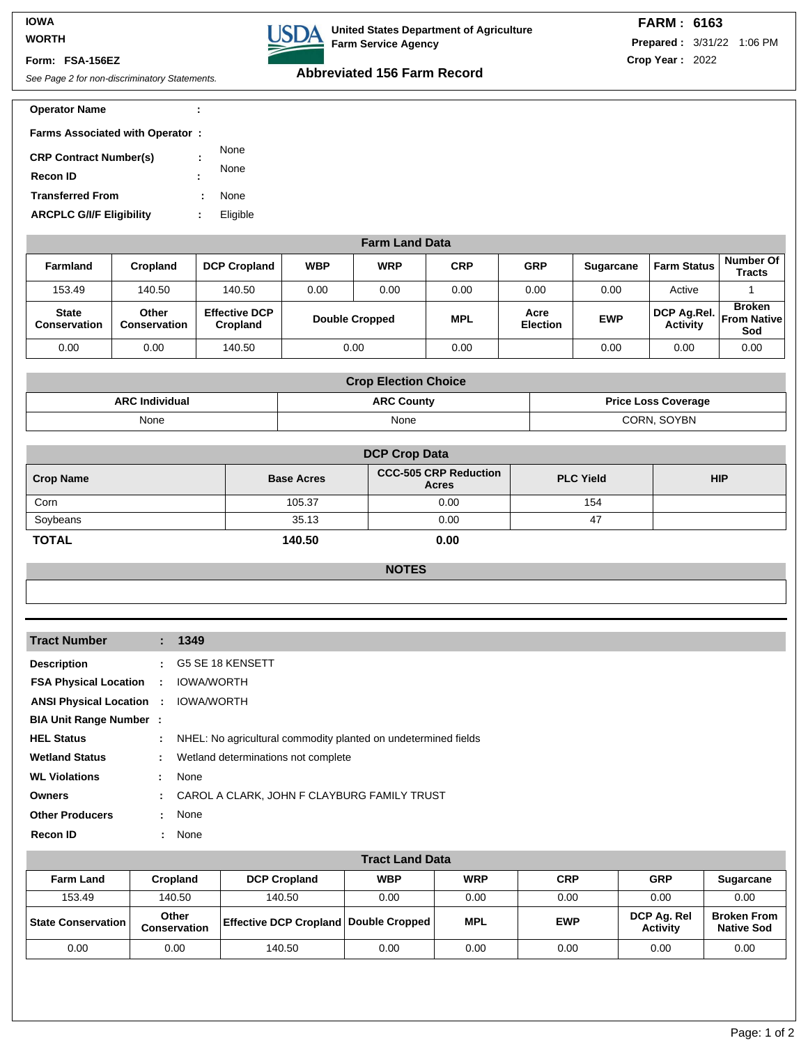### **IOWA WORTH**

#### **Form: FSA-156EZ**

# See Page 2 for non-discriminatory Statements. **Abbreviated 156 Farm Record**

**Farm Service Agency**

**USDA** 

**United States Department of Agriculture**

#### **Operator Name : 1997 : 1997 : 1997 : 1997 : 1997 : 1997 : 1997 : 1997 : 1998 : 1997 : 1998 : 1999 : 1999 : 1999 : 1999 : 1999 : 1999 : 1999 : 1999 : 1999 : 1999 : 1999 : 1999 : 1999 : 1999 : 1999 : 1999 : 1999 : 1999 : 19**

| <b>Farms Associated with Operator:</b>           |        |              |
|--------------------------------------------------|--------|--------------|
| <b>CRP Contract Number(s)</b><br><b>Recon ID</b> | ÷<br>٠ | None<br>None |
| <b>Transferred From</b>                          |        | None         |
| <b>ARCPLC G/I/F Eligibility</b>                  |        | Eligible     |

| <b>Farm Land Data</b>        |                              |                                  |                       |            |            |                         |                  |                                       |                            |
|------------------------------|------------------------------|----------------------------------|-----------------------|------------|------------|-------------------------|------------------|---------------------------------------|----------------------------|
| <b>Farmland</b>              | <b>Cropland</b>              | <b>DCP Cropland</b>              | <b>WBP</b>            | <b>WRP</b> | <b>CRP</b> | <b>GRP</b>              | <b>Sugarcane</b> | <b>Farm Status</b>                    | Number Of<br><b>Tracts</b> |
| 153.49                       | 140.50                       | 140.50                           | 0.00                  | 0.00       | 0.00       | 0.00                    | 0.00             | Active                                |                            |
| <b>State</b><br>Conservation | Other<br><b>Conservation</b> | <b>Effective DCP</b><br>Cropland | <b>Double Cropped</b> |            | <b>MPL</b> | Acre<br><b>Election</b> | <b>EWP</b>       | DCP Ag.Rel.   From Native<br>Activity | <b>Broken</b><br>Sod       |
| 0.00                         | 0.00                         | 140.50                           |                       | 0.00       | 0.00       |                         | 0.00             | 0.00                                  | 0.00                       |

| <b>Crop Election Choice</b> |                   |                            |  |  |
|-----------------------------|-------------------|----------------------------|--|--|
| <b>ARC Individual</b>       | <b>ARC County</b> | <b>Price Loss Coverage</b> |  |  |
| None                        | None              | CORN, SOYBN                |  |  |

| <b>DCP Crop Data</b> |                   |                                       |                  |            |  |  |
|----------------------|-------------------|---------------------------------------|------------------|------------|--|--|
| <b>Crop Name</b>     | <b>Base Acres</b> | <b>CCC-505 CRP Reduction</b><br>Acres | <b>PLC Yield</b> | <b>HIP</b> |  |  |
| Corn                 | 105.37            | 0.00                                  | 154              |            |  |  |
| Soybeans             | 35.13             | 0.00                                  | 47               |            |  |  |
| <b>TOTAL</b>         | 140.50            | 0.00                                  |                  |            |  |  |

|--|

| <b>Tract Number</b>                        |              | : 1349                                                           |
|--------------------------------------------|--------------|------------------------------------------------------------------|
| <b>Description</b>                         |              | : G5 SE 18 KENSETT                                               |
| <b>FSA Physical Location :</b>             |              | <b>IOWA/WORTH</b>                                                |
| <b>ANSI Physical Location : IOWA/WORTH</b> |              |                                                                  |
| <b>BIA Unit Range Number:</b>              |              |                                                                  |
| <b>HEL Status</b>                          |              | : NHEL: No agricultural commodity planted on undetermined fields |
| <b>Wetland Status</b>                      | ÷.           | Wetland determinations not complete                              |
| <b>WL Violations</b>                       | $\mathbf{L}$ | None                                                             |
| <b>Owners</b>                              |              | : CAROL A CLARK, JOHN F CLAYBURG FAMILY TRUST                    |
| <b>Other Producers</b>                     | di l         | None                                                             |
| <b>Recon ID</b>                            |              | : None                                                           |

| <b>Tract Land Data</b>      |                              |                                                  |            |            |            |                                |                                         |
|-----------------------------|------------------------------|--------------------------------------------------|------------|------------|------------|--------------------------------|-----------------------------------------|
| <b>Farm Land</b>            | Cropland                     | <b>DCP Cropland</b>                              | <b>WBP</b> | <b>WRP</b> | <b>CRP</b> | <b>GRP</b>                     | <b>Sugarcane</b>                        |
| 153.49                      | 140.50                       | 140.50                                           | 0.00       | 0.00       | 0.00       | 0.00                           | 0.00                                    |
| <b>State Conservation I</b> | Other<br><b>Conservation</b> | <b>Effective DCP Cropland   Double Cropped  </b> |            | <b>MPL</b> | <b>EWP</b> | DCP Ag. Rel<br><b>Activity</b> | <b>Broken From</b><br><b>Native Sod</b> |
| 0.00                        | 0.00                         | 140.50                                           | 0.00       | 0.00       | 0.00       | 0.00                           | 0.00                                    |